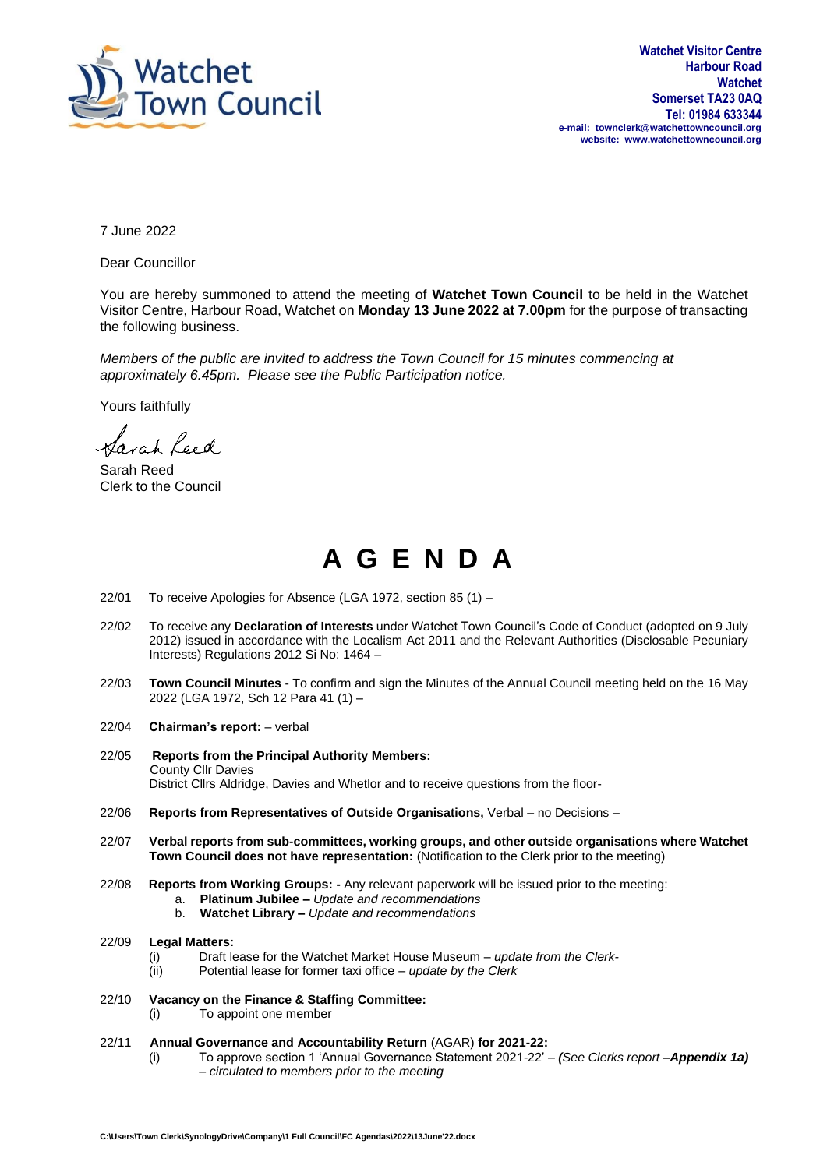

7 June 2022

Dear Councillor

You are hereby summoned to attend the meeting of **Watchet Town Council** to be held in the Watchet Visitor Centre, Harbour Road, Watchet on **Monday 13 June 2022 at 7.00pm** for the purpose of transacting the following business.

*Members of the public are invited to address the Town Council for 15 minutes commencing at approximately 6.45pm. Please see the Public Participation notice.*

Yours faithfully

lavah Leed

Sarah Reed Clerk to the Council

## **A G E N D A**

- 22/01 To receive Apologies for Absence (LGA 1972, section 85 (1) –
- 22/02 To receive any **Declaration of Interests** under Watchet Town Council's Code of Conduct (adopted on 9 July 2012) issued in accordance with the Localism Act 2011 and the Relevant Authorities (Disclosable Pecuniary Interests) Regulations 2012 Si No: 1464 –
- 22/03 **Town Council Minutes** To confirm and sign the Minutes of the Annual Council meeting held on the 16 May 2022 (LGA 1972, Sch 12 Para 41 (1) –
- 22/04 **Chairman's report:** verbal
- 22/05 **Reports from the Principal Authority Members:** County Cllr Davies District Cllrs Aldridge, Davies and Whetlor and to receive questions from the floor-
- 22/06 **Reports from Representatives of Outside Organisations,** Verbal no Decisions –
- 22/07 **Verbal reports from sub-committees, working groups, and other outside organisations where Watchet Town Council does not have representation:** (Notification to the Clerk prior to the meeting)
- 22/08 **Reports from Working Groups: -** Any relevant paperwork will be issued prior to the meeting:
	- a. **Platinum Jubilee –** *Update and recommendations*
	- b. **Watchet Library –** *Update and recommendations*
- 22/09 **Legal Matters:**
	- (i) Draft lease for the Watchet Market House Museum *update from the Clerk-*
	- (ii) Potential lease for former taxi office *update by the Clerk*
- 22/10 **Vacancy on the Finance & Staffing Committee:** (i) To appoint one member
- 22/11 **Annual Governance and Accountability Return** (AGAR) **for 2021-22:**
	- (i) To approve section 1 'Annual Governance Statement 2021-22' *(See Clerks report –Appendix 1a)* – *circulated to members prior to the meeting*